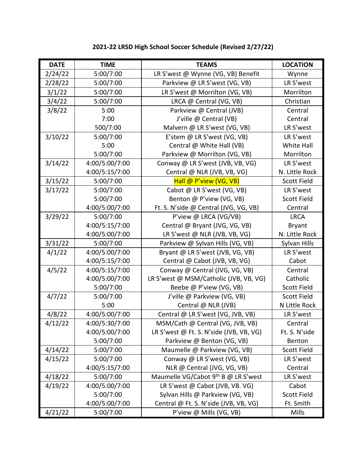| <b>DATE</b> | <b>TIME</b>    | <b>TEAMS</b>                            | <b>LOCATION</b>    |
|-------------|----------------|-----------------------------------------|--------------------|
| 2/24/22     | 5:00/7:00      | LR S'west @ Wynne (VG, VB) Benefit      | Wynne              |
| 2/28/22     | 5:00/7:00      | Parkview @ LR S'west (VG, VB)           | LR S'west          |
| 3/1/22      | 5:00/7:00      | LR S'west @ Morrilton (VG, VB)          | Morrilton          |
| 3/4/22      | 5:00/7:00      | LRCA @ Central (VG, VB)                 | Christian          |
| 3/8/22      | 5:00           | Parkview @ Central (JVB)                | Central            |
|             | 7:00           | J'ville @ Central (VB)                  | Central            |
|             | 500/7:00       | Malvern @ LR S'west (VG, VB)            | LR S'west          |
| 3/10/22     | 5:00/7:00      | E'stem @ LR S'west (VG, VB)             | LR S'west          |
|             | 5:00           | Central @ White Hall (VB)               | <b>White Hall</b>  |
|             | 5:00/7:00      | Parkview @ Morrilton (VG, VB)           | Morrilton          |
| 3/14/22     | 4:00/5:00/7:00 | Conway @ LR S'west (JVB, VB, VG)        | LR S'west          |
|             | 4:00/5:15/7:00 | Central @ NLR (JVB, VB, VG)             | N. Little Rock     |
| 3/15/22     | 5:00/7:00      | Hall @ P'view (VG, VB)                  | Scott Field        |
| 3/17/22     | 5:00/7:00      | Cabot @ LR S'west (VG, VB)              | LR S'west          |
|             | 5:00/7:00      | Benton @ P'view (VG, VB)                | Scott Field        |
|             | 4:00/5:00/7:00 | Ft. S. N'side @ Central (JVG, VG, VB)   | Central            |
| 3/29/22     | 5:00/7:00      | P'view @ LRCA (VG/VB)                   | <b>LRCA</b>        |
|             | 4:00/5:15/7:00 | Central @ Bryant (JVG, VG, VB)          | <b>Bryant</b>      |
|             | 4:00/5:00/7:00 | LR S'west @ NLR (JVB, VB, VG)           | N. Little Rock     |
| 3/31/22     | 5:00/7:00      | Parkview @ Sylvan Hills (VG, VB)        | Sylvan Hills       |
| 4/1/22      | 4:00/5:00/7:00 | Bryant @ LR S'west (JVB, VG, VB)        | LR S'west          |
|             | 4:00/5:15/7:00 | Central @ Cabot (JVB, VB, VG)           | Cabot              |
| 4/5/22      | 4:00/5:15/7:00 | Conway @ Central (JVG, VG, VB)          | Central            |
|             | 4:00/5:00/7:00 | LR S'west @ MSM/Catholic (JVB, VB, VG)  | Catholic           |
|             | 5:00/7:00      | Beebe @ P'view (VG, VB)                 | Scott Field        |
| 4/7/22      | 5:00/7:00      | J'ville @ Parkview (VG, VB)             | <b>Scott Field</b> |
|             | 5:00           | Central @ NLR (JVB)                     | N Little Rock      |
| 4/8/22      | 4:00/5:00/7:00 | Central @ LR S'west (VG, JVB, VB)       | LR S'west          |
| 4/12/22     | 4:00/5:30/7:00 | MSM/Cath @ Central (VG, JVB, VB)        | Central            |
|             | 4:00/5:00/7:00 | LR S'west @ Ft. S. N'side (JVB, VB, VG) | Ft. S. N'side      |
|             | 5:00/7:00      | Parkview @ Benton (VG, VB)              | Benton             |
| 4/14/22     | 5:00/7:00      | Maumelle @ Parkview (VG, VB)            | <b>Scott Field</b> |
| 4/15/22     | 5:00/7:00      | Conway @ LR S'west (VG, VB)             | LR S'west          |
|             | 4:00/5:15/7:00 | NLR @ Central (JVG, VG, VB)             | Central            |
| 4/18/22     | 5:00/7:00      | Maumelle VG/Cabot 9th B @ LR S'west     | LR S'west          |
| 4/19/22     | 4:00/5:00/7:00 | LR S'west @ Cabot (JVB, VB. VG)         | Cabot              |
|             | 5:00/7:00      | Sylvan Hills @ Parkview (VG, VB)        | <b>Scott Field</b> |
|             | 4:00/5:00/7:00 | Central @ Ft. S. N'side (JVB, VB, VG)   | Ft. Smith          |
| 4/21/22     | 5:00/7:00      | P'view @ Mills (VG, VB)                 | <b>Mills</b>       |

## **2021-22 LRSD High School Soccer Schedule (Revised 2/27/22)**